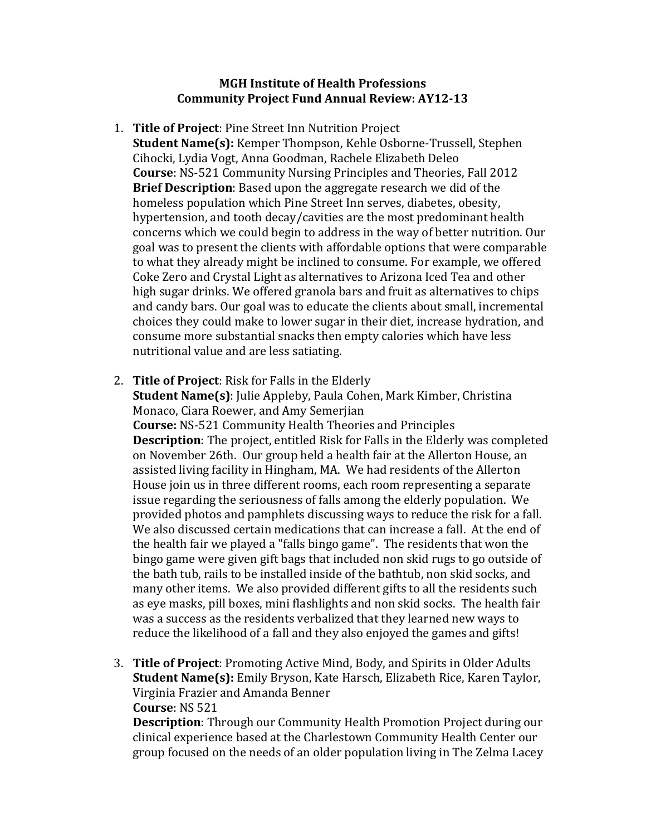## **MGH Institute of Health Professions Community Project Fund Annual Review: AY12-13**

- 1. **Title of Project**: Pine Street Inn Nutrition Project **Student Name(s):** Kemper Thompson, Kehle Osborne-Trussell, Stephen Cihocki, Lydia Vogt, Anna Goodman, Rachele Elizabeth Deleo **Course**: NS-521 Community Nursing Principles and Theories, Fall 2012 **Brief Description**: Based upon the aggregate research we did of the homeless population which Pine Street Inn serves, diabetes, obesity, hypertension, and tooth decay/cavities are the most predominant health concerns which we could begin to address in the way of better nutrition. Our goal was to present the clients with affordable options that were comparable to what they already might be inclined to consume. For example, we offered Coke Zero and Crystal Light as alternatives to Arizona Iced Tea and other high sugar drinks. We offered granola bars and fruit as alternatives to chips and candy bars. Our goal was to educate the clients about small, incremental choices they could make to lower sugar in their diet, increase hydration, and consume more substantial snacks then empty calories which have less nutritional value and are less satiating.
- 2. **Title of Project**: Risk for Falls in the Elderly **Student Name(s)**: Julie Appleby, Paula Cohen, Mark Kimber, Christina Monaco, Ciara Roewer, and Amy Semerjian **Course:** NS-521 Community Health Theories and Principles **Description**: The project, entitled Risk for Falls in the Elderly was completed on November 26th. Our group held a health fair at the Allerton House, an assisted living facility in Hingham, MA. We had residents of the Allerton House join us in three different rooms, each room representing a separate issue regarding the seriousness of falls among the elderly population. We provided photos and pamphlets discussing ways to reduce the risk for a fall. We also discussed certain medications that can increase a fall. At the end of the health fair we played a "falls bingo game". The residents that won the bingo game were given gift bags that included non skid rugs to go outside of the bath tub, rails to be installed inside of the bathtub, non skid socks, and many other items. We also provided different gifts to all the residents such as eye masks, pill boxes, mini flashlights and non skid socks. The health fair was a success as the residents verbalized that they learned new ways to reduce the likelihood of a fall and they also enjoyed the games and gifts!
- 3. **Title of Project**: Promoting Active Mind, Body, and Spirits in Older Adults **Student Name(s):** Emily Bryson, Kate Harsch, Elizabeth Rice, Karen Taylor, Virginia Frazier and Amanda Benner **Course**: NS 521

**Description**: Through our Community Health Promotion Project during our clinical experience based at the Charlestown Community Health Center our group focused on the needs of an older population living in The Zelma Lacey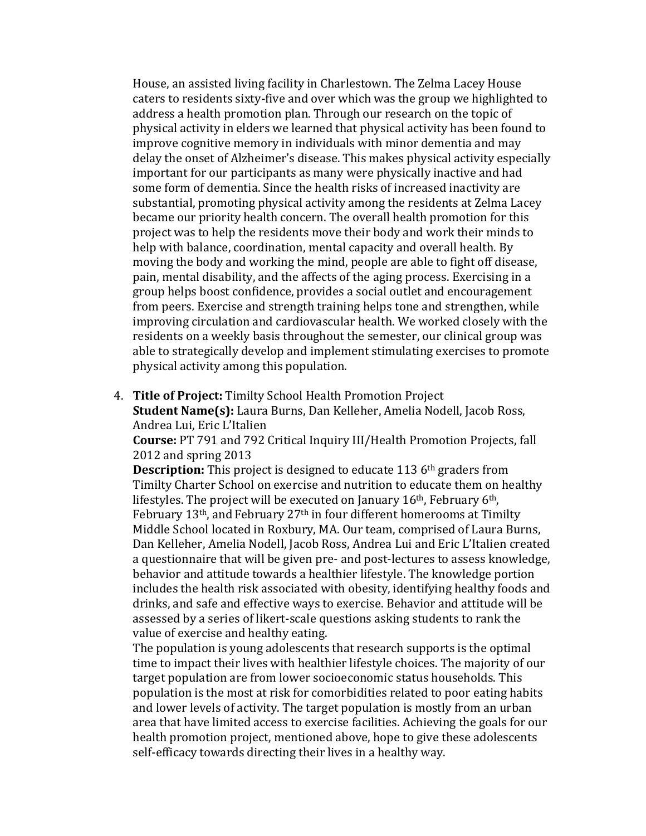House, an assisted living facility in Charlestown. The Zelma Lacey House caters to residents sixty-five and over which was the group we highlighted to address a health promotion plan. Through our research on the topic of physical activity in elders we learned that physical activity has been found to improve cognitive memory in individuals with minor dementia and may delay the onset of Alzheimer's disease. This makes physical activity especially important for our participants as many were physically inactive and had some form of dementia. Since the health risks of increased inactivity are substantial, promoting physical activity among the residents at Zelma Lacey became our priority health concern. The overall health promotion for this project was to help the residents move their body and work their minds to help with balance, coordination, mental capacity and overall health. By moving the body and working the mind, people are able to fight off disease, pain, mental disability, and the affects of the aging process. Exercising in a group helps boost confidence, provides a social outlet and encouragement from peers. Exercise and strength training helps tone and strengthen, while improving circulation and cardiovascular health. We worked closely with the residents on a weekly basis throughout the semester, our clinical group was able to strategically develop and implement stimulating exercises to promote physical activity among this population.

4. **Title of Project:** Timilty School Health Promotion Project **Student Name(s):** Laura Burns, Dan Kelleher, Amelia Nodell, Jacob Ross, Andrea Lui, Eric L'Italien

**Course:** PT 791 and 792 Critical Inquiry III/Health Promotion Projects, fall 2012 and spring 2013

**Description:** This project is designed to educate 113 6<sup>th</sup> graders from Timilty Charter School on exercise and nutrition to educate them on healthy lifestyles. The project will be executed on January  $16<sup>th</sup>$ , February  $6<sup>th</sup>$ , February 13th, and February 27th in four different homerooms at Timilty Middle School located in Roxbury, MA. Our team, comprised of Laura Burns, Dan Kelleher, Amelia Nodell, Jacob Ross, Andrea Lui and Eric L'Italien created a questionnaire that will be given pre- and post-lectures to assess knowledge, behavior and attitude towards a healthier lifestyle. The knowledge portion includes the health risk associated with obesity, identifying healthy foods and drinks, and safe and effective ways to exercise. Behavior and attitude will be assessed by a series of likert-scale questions asking students to rank the value of exercise and healthy eating.

The population is young adolescents that research supports is the optimal time to impact their lives with healthier lifestyle choices. The majority of our target population are from lower socioeconomic status households. This population is the most at risk for comorbidities related to poor eating habits and lower levels of activity. The target population is mostly from an urban area that have limited access to exercise facilities. Achieving the goals for our health promotion project, mentioned above, hope to give these adolescents self-efficacy towards directing their lives in a healthy way.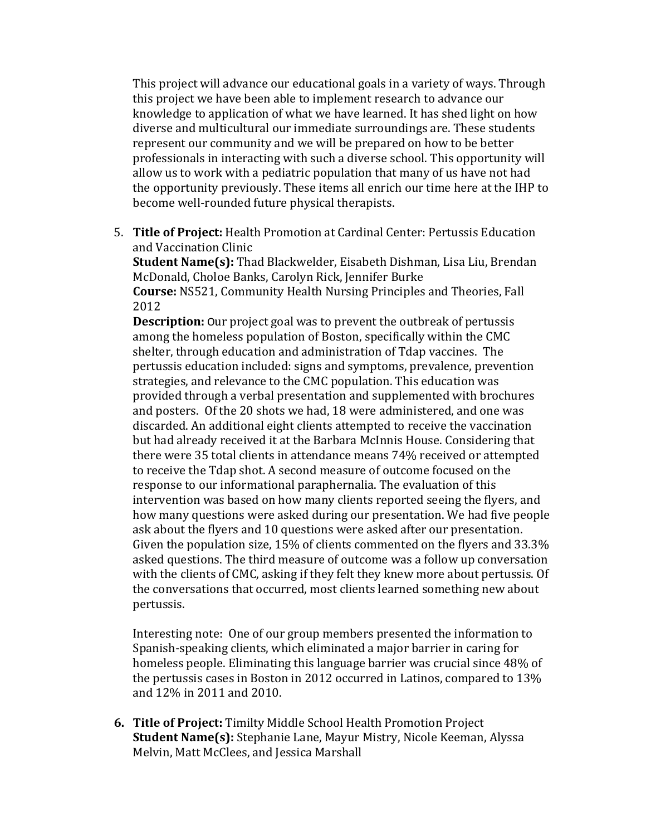This project will advance our educational goals in a variety of ways. Through this project we have been able to implement research to advance our knowledge to application of what we have learned. It has shed light on how diverse and multicultural our immediate surroundings are. These students represent our community and we will be prepared on how to be better professionals in interacting with such a diverse school. This opportunity will allow us to work with a pediatric population that many of us have not had the opportunity previously. These items all enrich our time here at the IHP to become well-rounded future physical therapists.

5. **Title of Project:** Health Promotion at Cardinal Center: Pertussis Education and Vaccination Clinic

**Student Name(s):** Thad Blackwelder, Eisabeth Dishman, Lisa Liu, Brendan McDonald, Choloe Banks, Carolyn Rick, Jennifer Burke **Course:** NS521, Community Health Nursing Principles and Theories, Fall 2012

**Description:** Our project goal was to prevent the outbreak of pertussis among the homeless population of Boston, specifically within the CMC shelter, through education and administration of Tdap vaccines. The pertussis education included: signs and symptoms, prevalence, prevention strategies, and relevance to the CMC population. This education was provided through a verbal presentation and supplemented with brochures and posters. Of the 20 shots we had, 18 were administered, and one was discarded. An additional eight clients attempted to receive the vaccination but had already received it at the Barbara McInnis House. Considering that there were 35 total clients in attendance means 74% received or attempted to receive the Tdap shot. A second measure of outcome focused on the response to our informational paraphernalia. The evaluation of this intervention was based on how many clients reported seeing the flyers, and how many questions were asked during our presentation. We had five people ask about the flyers and 10 questions were asked after our presentation. Given the population size, 15% of clients commented on the flyers and 33.3% asked questions. The third measure of outcome was a follow up conversation with the clients of CMC, asking if they felt they knew more about pertussis. Of the conversations that occurred, most clients learned something new about pertussis.

Interesting note: One of our group members presented the information to Spanish-speaking clients, which eliminated a major barrier in caring for homeless people. Eliminating this language barrier was crucial since 48% of the pertussis cases in Boston in 2012 occurred in Latinos, compared to 13% and 12% in 2011 and 2010.

**6. Title of Project:** Timilty Middle School Health Promotion Project **Student Name(s):** Stephanie Lane, Mayur Mistry, Nicole Keeman, Alyssa Melvin, Matt McClees, and Jessica Marshall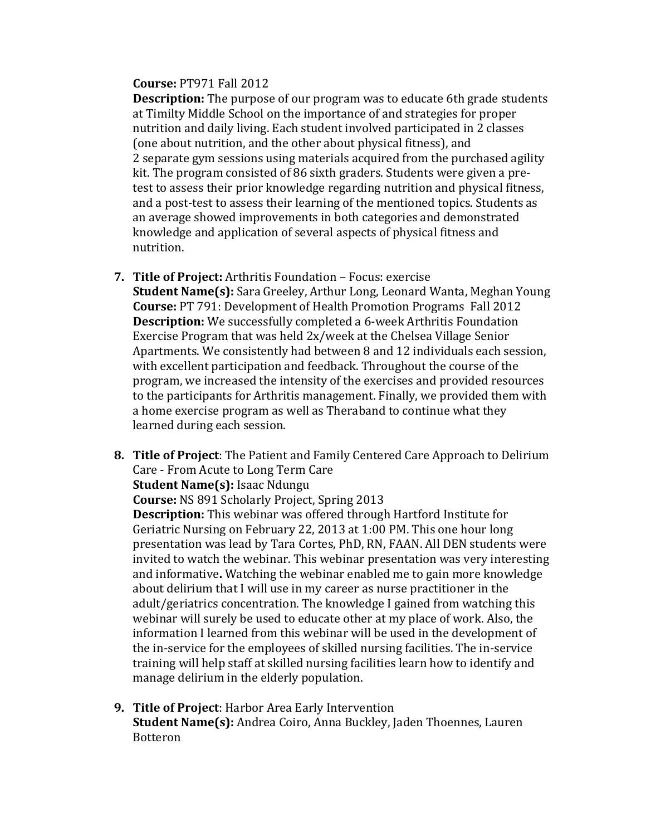## **Course:** PT971 Fall 2012

**Description:** The purpose of our program was to educate 6th grade students at Timilty Middle School on the importance of and strategies for proper nutrition and daily living. Each student involved participated in 2 classes (one about nutrition, and the other about physical fitness), and 2 separate gym sessions using materials acquired from the purchased agility kit. The program consisted of 86 sixth graders. Students were given a pretest to assess their prior knowledge regarding nutrition and physical fitness, and a post-test to assess their learning of the mentioned topics. Students as an average showed improvements in both categories and demonstrated knowledge and application of several aspects of physical fitness and nutrition.

- **7. Title of Project:** Arthritis Foundation Focus: exercise **Student Name(s):** Sara Greeley, Arthur Long, Leonard Wanta, Meghan Young **Course:** PT 791: Development of Health Promotion Programs Fall 2012 **Description:** We successfully completed a 6-week Arthritis Foundation Exercise Program that was held 2x/week at the Chelsea Village Senior Apartments. We consistently had between 8 and 12 individuals each session, with excellent participation and feedback. Throughout the course of the program, we increased the intensity of the exercises and provided resources to the participants for Arthritis management. Finally, we provided them with a home exercise program as well as Theraband to continue what they learned during each session.
- **8. Title of Project**: The Patient and Family Centered Care Approach to Delirium Care - From Acute to Long Term Care **Student Name(s):** Isaac Ndungu

**Course:** NS 891 Scholarly Project, Spring 2013

**Description:** This webinar was offered through Hartford Institute for Geriatric Nursing on February 22, 2013 at 1:00 PM. This one hour long presentation was lead by Tara Cortes, PhD, RN, FAAN. All DEN students were invited to watch the webinar. This webinar presentation was very interesting and informative**.** Watching the webinar enabled me to gain more knowledge about delirium that I will use in my career as nurse practitioner in the adult/geriatrics concentration. The knowledge I gained from watching this webinar will surely be used to educate other at my place of work. Also, the information I learned from this webinar will be used in the development of the in-service for the employees of skilled nursing facilities. The in-service training will help staff at skilled nursing facilities learn how to identify and manage delirium in the elderly population.

**9. Title of Project**: Harbor Area Early Intervention **Student Name(s):** Andrea Coiro, Anna Buckley, Jaden Thoennes, Lauren Botteron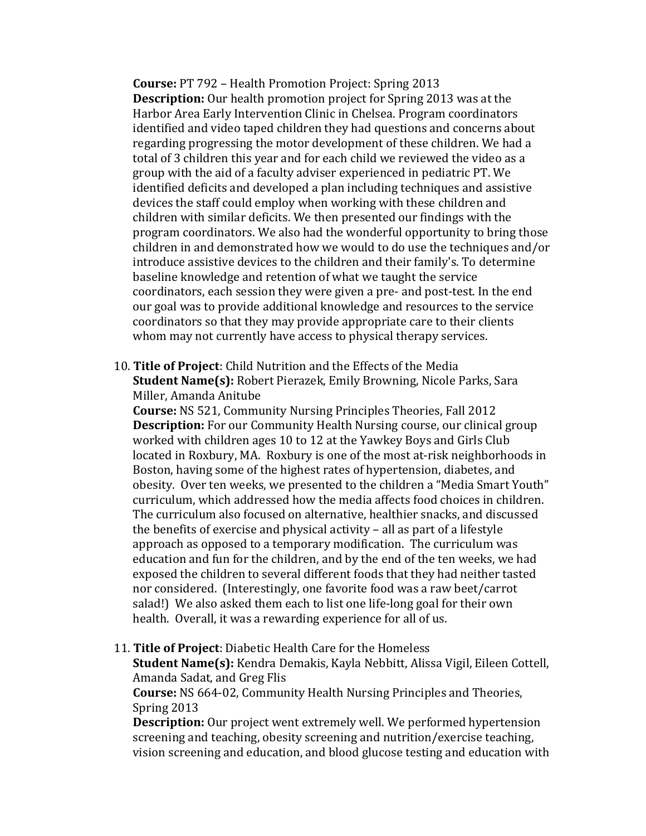**Course:** PT 792 – Health Promotion Project: Spring 2013 **Description:** Our health promotion project for Spring 2013 was at the Harbor Area Early Intervention Clinic in Chelsea. Program coordinators identified and video taped children they had questions and concerns about regarding progressing the motor development of these children. We had a total of 3 children this year and for each child we reviewed the video as a group with the aid of a faculty adviser experienced in pediatric PT. We identified deficits and developed a plan including techniques and assistive devices the staff could employ when working with these children and children with similar deficits. We then presented our findings with the program coordinators. We also had the wonderful opportunity to bring those children in and demonstrated how we would to do use the techniques and/or introduce assistive devices to the children and their family's. To determine baseline knowledge and retention of what we taught the service coordinators, each session they were given a pre- and post-test. In the end our goal was to provide additional knowledge and resources to the service coordinators so that they may provide appropriate care to their clients whom may not currently have access to physical therapy services.

10. **Title of Project**: Child Nutrition and the Effects of the Media **Student Name(s):** Robert Pierazek, Emily Browning, Nicole Parks, Sara Miller, Amanda Anitube

**Course:** NS 521, Community Nursing Principles Theories, Fall 2012 **Description:** For our Community Health Nursing course, our clinical group worked with children ages 10 to 12 at the Yawkey Boys and Girls Club located in Roxbury, MA. Roxbury is one of the most at-risk neighborhoods in Boston, having some of the highest rates of hypertension, diabetes, and obesity. Over ten weeks, we presented to the children a "Media Smart Youth" curriculum, which addressed how the media affects food choices in children. The curriculum also focused on alternative, healthier snacks, and discussed the benefits of exercise and physical activity – all as part of a lifestyle approach as opposed to a temporary modification. The curriculum was education and fun for the children, and by the end of the ten weeks, we had exposed the children to several different foods that they had neither tasted nor considered. (Interestingly, one favorite food was a raw beet/carrot salad!) We also asked them each to list one life-long goal for their own health. Overall, it was a rewarding experience for all of us.

11. **Title of Project**: Diabetic Health Care for the Homeless

**Student Name(s):** Kendra Demakis, Kayla Nebbitt, Alissa Vigil, Eileen Cottell, Amanda Sadat, and Greg Flis

**Course:** NS 664-02, Community Health Nursing Principles and Theories, Spring 2013

**Description:** Our project went extremely well. We performed hypertension screening and teaching, obesity screening and nutrition/exercise teaching, vision screening and education, and blood glucose testing and education with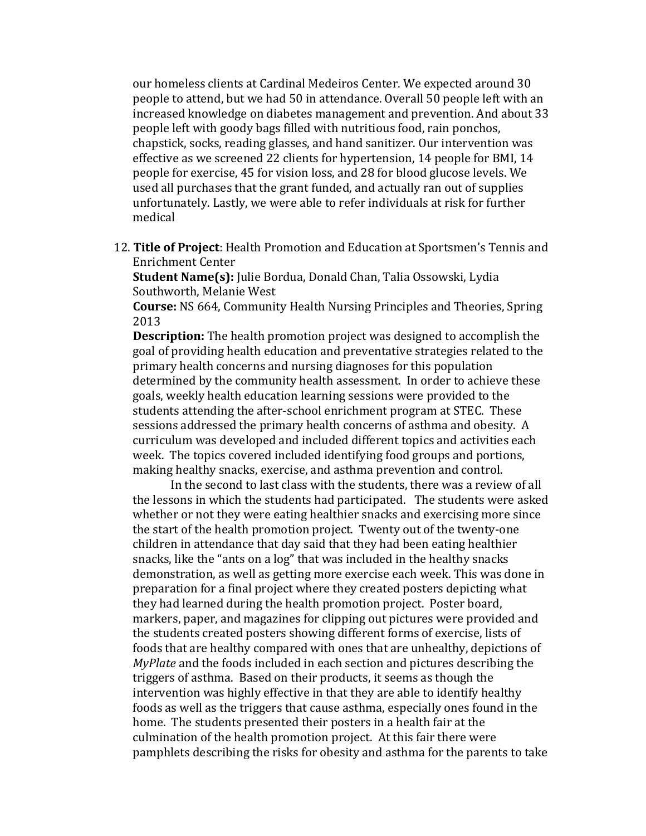our homeless clients at Cardinal Medeiros Center. We expected around 30 people to attend, but we had 50 in attendance. Overall 50 people left with an increased knowledge on diabetes management and prevention. And about 33 people left with goody bags filled with nutritious food, rain ponchos, chapstick, socks, reading glasses, and hand sanitizer. Our intervention was effective as we screened 22 clients for hypertension, 14 people for BMI, 14 people for exercise, 45 for vision loss, and 28 for blood glucose levels. We used all purchases that the grant funded, and actually ran out of supplies unfortunately. Lastly, we were able to refer individuals at risk for further medical

12. **Title of Project**: Health Promotion and Education at Sportsmen's Tennis and Enrichment Center

**Student Name(s):** Julie Bordua, Donald Chan, Talia Ossowski, Lydia Southworth, Melanie West

**Course:** NS 664, Community Health Nursing Principles and Theories, Spring 2013

**Description:** The health promotion project was designed to accomplish the goal of providing health education and preventative strategies related to the primary health concerns and nursing diagnoses for this population determined by the community health assessment. In order to achieve these goals, weekly health education learning sessions were provided to the students attending the after-school enrichment program at STEC. These sessions addressed the primary health concerns of asthma and obesity. A curriculum was developed and included different topics and activities each week. The topics covered included identifying food groups and portions, making healthy snacks, exercise, and asthma prevention and control.

In the second to last class with the students, there was a review of all the lessons in which the students had participated. The students were asked whether or not they were eating healthier snacks and exercising more since the start of the health promotion project. Twenty out of the twenty-one children in attendance that day said that they had been eating healthier snacks, like the "ants on a log" that was included in the healthy snacks demonstration, as well as getting more exercise each week. This was done in preparation for a final project where they created posters depicting what they had learned during the health promotion project. Poster board, markers, paper, and magazines for clipping out pictures were provided and the students created posters showing different forms of exercise, lists of foods that are healthy compared with ones that are unhealthy, depictions of *MyPlate* and the foods included in each section and pictures describing the triggers of asthma. Based on their products, it seems as though the intervention was highly effective in that they are able to identify healthy foods as well as the triggers that cause asthma, especially ones found in the home. The students presented their posters in a health fair at the culmination of the health promotion project. At this fair there were pamphlets describing the risks for obesity and asthma for the parents to take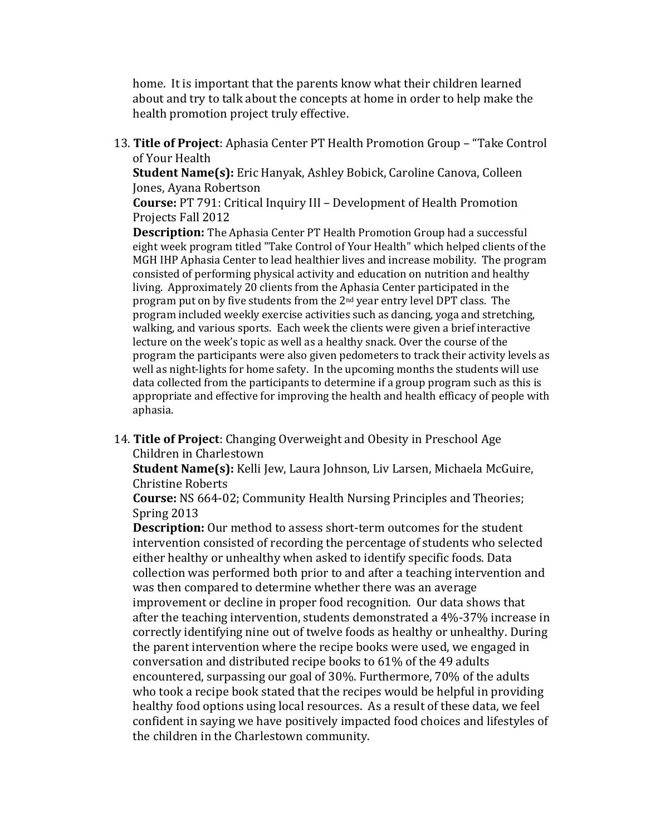home. It is important that the parents know what their children learned about and try to talk about the concepts at home in order to help make the health promotion project truly effective.

13. **Title of Project**: Aphasia Center PT Health Promotion Group – "Take Control of Your Health

**Student Name(s):** Eric Hanyak, Ashley Bobick, Caroline Canova, Colleen Jones, Ayana Robertson

**Course:** PT 791: Critical Inquiry III – Development of Health Promotion Projects Fall 2012

**Description:** The Aphasia Center PT Health Promotion Group had a successful eight week program titled "Take Control of Your Health" which helped clients of the MGH IHP Aphasia Center to lead healthier lives and increase mobility. The program consisted of performing physical activity and education on nutrition and healthy living. Approximately 20 clients from the Aphasia Center participated in the program put on by five students from the 2nd year entry level DPT class. The program included weekly exercise activities such as dancing, yoga and stretching, walking, and various sports. Each week the clients were given a brief interactive lecture on the week's topic as well as a healthy snack. Over the course of the program the participants were also given pedometers to track their activity levels as well as night-lights for home safety. In the upcoming months the students will use data collected from the participants to determine if a group program such as this is appropriate and effective for improving the health and health efficacy of people with aphasia.

14. **Title of Project**: Changing Overweight and Obesity in Preschool Age Children in Charlestown

**Student Name(s):** Kelli Jew, Laura Johnson, Liv Larsen, Michaela McGuire, Christine Roberts

**Course:** NS 664-02; Community Health Nursing Principles and Theories; Spring 2013

**Description:** Our method to assess short-term outcomes for the student intervention consisted of recording the percentage of students who selected either healthy or unhealthy when asked to identify specific foods. Data collection was performed both prior to and after a teaching intervention and was then compared to determine whether there was an average improvement or decline in proper food recognition. Our data shows that after the teaching intervention, students demonstrated a 4%-37% increase in correctly identifying nine out of twelve foods as healthy or unhealthy. During the parent intervention where the recipe books were used, we engaged in conversation and distributed recipe books to 61% of the 49 adults encountered, surpassing our goal of 30%. Furthermore, 70% of the adults who took a recipe book stated that the recipes would be helpful in providing healthy food options using local resources. As a result of these data, we feel confident in saying we have positively impacted food choices and lifestyles of the children in the Charlestown community.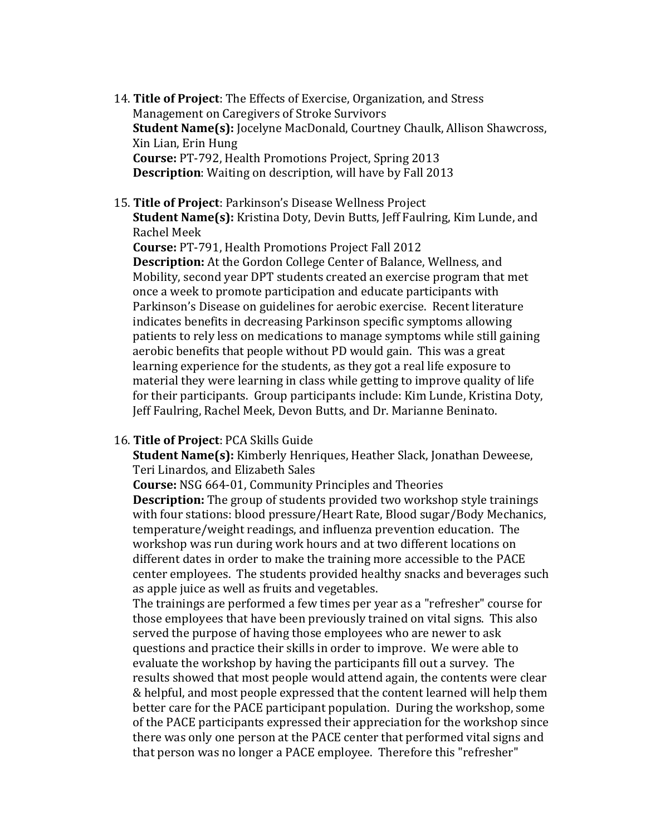- 14. **Title of Project**: The Effects of Exercise, Organization, and Stress Management on Caregivers of Stroke Survivors **Student Name(s):** Jocelyne MacDonald, Courtney Chaulk, Allison Shawcross, Xin Lian, Erin Hung **Course:** PT-792, Health Promotions Project, Spring 2013 **Description**: Waiting on description, will have by Fall 2013
- 15. **Title of Project**: Parkinson's Disease Wellness Project **Student Name(s):** Kristina Doty, Devin Butts, Jeff Faulring, Kim Lunde, and Rachel Meek

**Course:** PT-791, Health Promotions Project Fall 2012 **Description:** At the Gordon College Center of Balance, Wellness, and Mobility, second year DPT students created an exercise program that met once a week to promote participation and educate participants with Parkinson's Disease on guidelines for aerobic exercise. Recent literature indicates benefits in decreasing Parkinson specific symptoms allowing patients to rely less on medications to manage symptoms while still gaining aerobic benefits that people without PD would gain. This was a great learning experience for the students, as they got a real life exposure to material they were learning in class while getting to improve quality of life for their participants. Group participants include: Kim Lunde, Kristina Doty, Jeff Faulring, Rachel Meek, Devon Butts, and Dr. Marianne Beninato.

## 16. **Title of Project**: PCA Skills Guide

**Student Name(s):** Kimberly Henriques, Heather Slack, Jonathan Deweese, Teri Linardos, and Elizabeth Sales

**Course:** NSG 664-01, Community Principles and Theories

**Description:** The group of students provided two workshop style trainings with four stations: blood pressure/Heart Rate, Blood sugar/Body Mechanics, temperature/weight readings, and influenza prevention education. The workshop was run during work hours and at two different locations on different dates in order to make the training more accessible to the PACE center employees. The students provided healthy snacks and beverages such as apple juice as well as fruits and vegetables.

The trainings are performed a few times per year as a "refresher" course for those employees that have been previously trained on vital signs. This also served the purpose of having those employees who are newer to ask questions and practice their skills in order to improve. We were able to evaluate the workshop by having the participants fill out a survey. The results showed that most people would attend again, the contents were clear & helpful, and most people expressed that the content learned will help them better care for the PACE participant population. During the workshop, some of the PACE participants expressed their appreciation for the workshop since there was only one person at the PACE center that performed vital signs and that person was no longer a PACE employee. Therefore this "refresher"